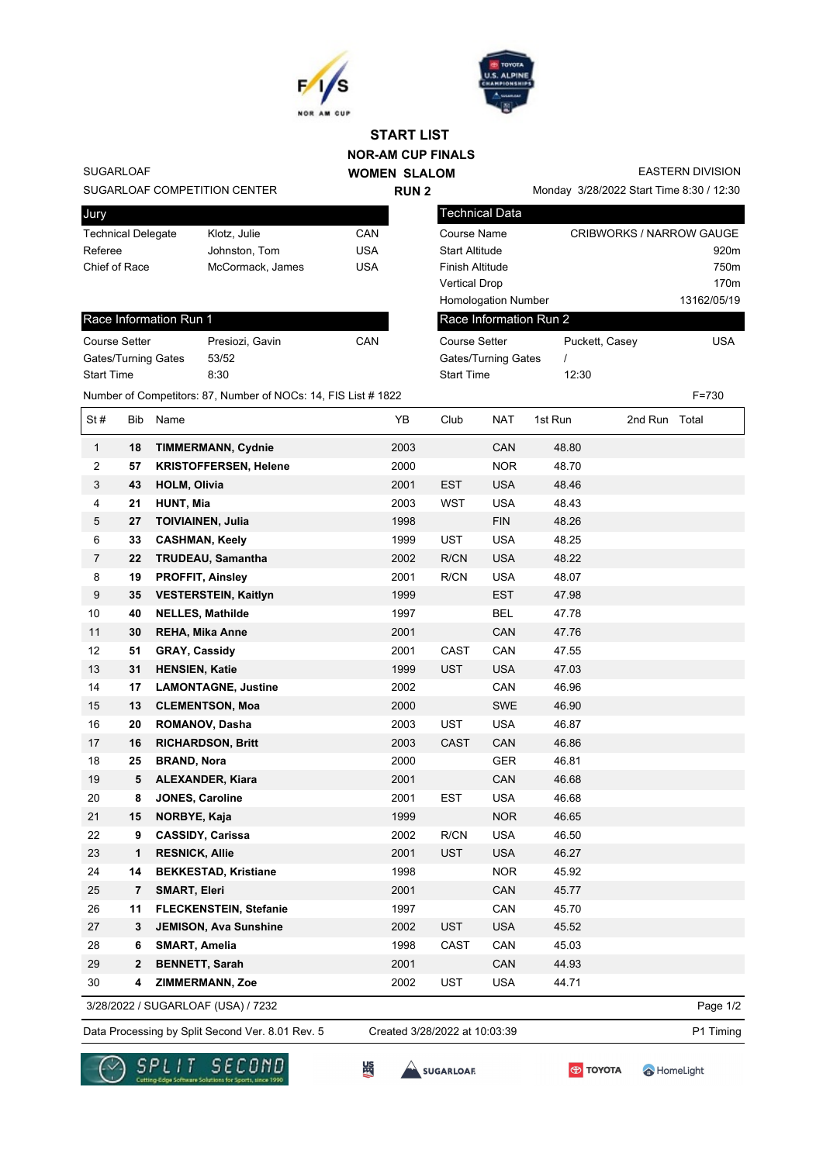



## **NOR-AM CUP FINALS WOMEN SLALOM START LIST**

**RUN 2**

SUGARLOAF

SUGARLOAF COMPETITION CENTER

| Jury                      |                  |     |
|---------------------------|------------------|-----|
| <b>Technical Delegate</b> | Klotz. Julie     | CAN |
| Referee                   | Johnston, Tom    | USA |
| Chief of Race             | McCormack, James | USA |
|                           |                  |     |

## Race Information Run 1

| <b>Course Setter</b> | Presiozi, Gavin | CAN |
|----------------------|-----------------|-----|
| Gates/Turning Gates  | 53/52           |     |
| <b>Start Time</b>    | 8:30            |     |

EASTERN DIVISION

Monday 3/28/2022 Start Time 8:30 / 12:30

| <b>Technical Data</b>      |                          |                  |
|----------------------------|--------------------------|------------------|
| Course Name                | CRIBWORKS / NARROW GAUGE |                  |
| <b>Start Altitude</b>      |                          | 920 <sub>m</sub> |
| Finish Altitude            |                          | 750 <sub>m</sub> |
| <b>Vertical Drop</b>       |                          | 170 <sub>m</sub> |
| <b>Homologation Number</b> |                          | 13162/05/19      |
| Race Information Run 2     |                          |                  |
| Course Setter              | Puckett, Casey           | USA              |
| Gates/Turning Gates        |                          |                  |
| <b>Start Time</b>          | 12:30                    |                  |

Number of Competitors: 87, Number of NOCs: 14, FIS List # 1822 F=730

| St#            | Bib            | Name                          | YB   | Club        | <b>NAT</b> | 1st Run | 2nd Run Total |  |
|----------------|----------------|-------------------------------|------|-------------|------------|---------|---------------|--|
| $\mathbf{1}$   | 18             | <b>TIMMERMANN, Cydnie</b>     | 2003 |             | CAN        | 48.80   |               |  |
| $\mathbf{2}$   | 57             | <b>KRISTOFFERSEN, Helene</b>  | 2000 |             | <b>NOR</b> | 48.70   |               |  |
| 3              | 43             | <b>HOLM, Olivia</b>           | 2001 | <b>EST</b>  | <b>USA</b> | 48.46   |               |  |
| 4              | 21             | <b>HUNT, Mia</b>              | 2003 | WST         | <b>USA</b> | 48.43   |               |  |
| 5              | 27             | <b>TOIVIAINEN, Julia</b>      | 1998 |             | <b>FIN</b> | 48.26   |               |  |
| 6              | 33             | <b>CASHMAN, Keely</b>         | 1999 | <b>UST</b>  | <b>USA</b> | 48.25   |               |  |
| $\overline{7}$ | 22             | <b>TRUDEAU, Samantha</b>      | 2002 | R/CN        | <b>USA</b> | 48.22   |               |  |
| 8              | 19             | <b>PROFFIT, Ainsley</b>       | 2001 | R/CN        | <b>USA</b> | 48.07   |               |  |
| 9              | 35             | <b>VESTERSTEIN, Kaitlyn</b>   | 1999 |             | <b>EST</b> | 47.98   |               |  |
| 10             | 40             | <b>NELLES, Mathilde</b>       | 1997 |             | <b>BEL</b> | 47.78   |               |  |
| 11             | 30             | <b>REHA, Mika Anne</b>        | 2001 |             | <b>CAN</b> | 47.76   |               |  |
| 12             | 51             | <b>GRAY, Cassidy</b>          | 2001 | CAST        | CAN        | 47.55   |               |  |
| 13             | 31             | <b>HENSIEN, Katie</b>         | 1999 | <b>UST</b>  | <b>USA</b> | 47.03   |               |  |
| 14             | 17             | <b>LAMONTAGNE, Justine</b>    | 2002 |             | CAN        | 46.96   |               |  |
| 15             | 13             | <b>CLEMENTSON, Moa</b>        | 2000 |             | <b>SWE</b> | 46.90   |               |  |
| 16             | 20             | <b>ROMANOV, Dasha</b>         | 2003 | <b>UST</b>  | <b>USA</b> | 46.87   |               |  |
| 17             | 16             | <b>RICHARDSON, Britt</b>      | 2003 | <b>CAST</b> | CAN        | 46.86   |               |  |
| 18             | 25             | <b>BRAND, Nora</b>            | 2000 |             | <b>GER</b> | 46.81   |               |  |
| 19             | 5              | <b>ALEXANDER, Kiara</b>       | 2001 |             | CAN        | 46.68   |               |  |
| 20             | 8              | <b>JONES, Caroline</b>        | 2001 | <b>EST</b>  | <b>USA</b> | 46.68   |               |  |
| 21             | 15             | NORBYE, Kaja                  | 1999 |             | <b>NOR</b> | 46.65   |               |  |
| 22             | 9              | <b>CASSIDY, Carissa</b>       | 2002 | R/CN        | <b>USA</b> | 46.50   |               |  |
| 23             | 1              | <b>RESNICK, Allie</b>         | 2001 | <b>UST</b>  | <b>USA</b> | 46.27   |               |  |
| 24             | 14             | <b>BEKKESTAD, Kristiane</b>   | 1998 |             | <b>NOR</b> | 45.92   |               |  |
| 25             | $\overline{7}$ | <b>SMART, Eleri</b>           | 2001 |             | CAN        | 45.77   |               |  |
| 26             | 11             | <b>FLECKENSTEIN, Stefanie</b> | 1997 |             | CAN        | 45.70   |               |  |
| 27             | 3              | <b>JEMISON, Ava Sunshine</b>  | 2002 | <b>UST</b>  | <b>USA</b> | 45.52   |               |  |
| 28             | 6              | <b>SMART, Amelia</b>          | 1998 | CAST        | CAN        | 45.03   |               |  |
| 29             | $\mathbf{2}$   | <b>BENNETT, Sarah</b>         | 2001 |             | CAN        | 44.93   |               |  |
| 30             | 4              | <b>ZIMMERMANN, Zoe</b>        | 2002 | <b>UST</b>  | <b>USA</b> | 44.71   |               |  |

3/28/2022 / SUGARLOAF (USA) / 7232

Data Processing by Split Second Ver. 8.01 Rev. 5 Created 3/28/2022 at 10:03:39 P1 Timing Created 3/28/2022 at 10:03:39

Page 1/2

HomeLight



监

SUGARLOAF